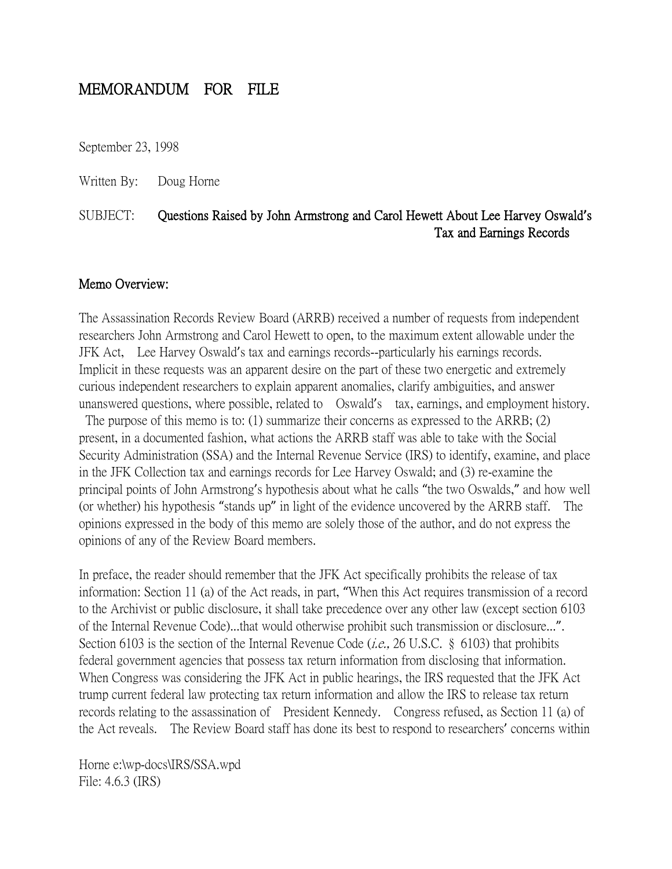# MEMORANDUM FOR FILE

September 23, 1998

Written By: Doug Horne

## SUBJECT: Questions Raised by John Armstrong and Carol Hewett About Lee Harvey Oswald**'**s Tax and Earnings Records

#### Memo Overview:

The Assassination Records Review Board (ARRB) received a number of requests from independent researchers John Armstrong and Carol Hewett to open, to the maximum extent allowable under the JFK Act, Lee Harvey Oswald's tax and earnings records--particularly his earnings records. Implicit in these requests was an apparent desire on the part of these two energetic and extremely curious independent researchers to explain apparent anomalies, clarify ambiguities, and answer unanswered questions, where possible, related to Oswald's tax, earnings, and employment history.

The purpose of this memo is to: (1) summarize their concerns as expressed to the ARRB; (2) present, in a documented fashion, what actions the ARRB staff was able to take with the Social Security Administration (SSA) and the Internal Revenue Service (IRS) to identify, examine, and place in the JFK Collection tax and earnings records for Lee Harvey Oswald; and (3) re-examine the principal points of John Armstrong's hypothesis about what he calls "the two Oswalds," and how well (or whether) his hypothesis "stands up" in light of the evidence uncovered by the ARRB staff. The opinions expressed in the body of this memo are solely those of the author, and do not express the opinions of any of the Review Board members.

In preface, the reader should remember that the JFK Act specifically prohibits the release of tax information: Section 11 (a) of the Act reads, in part, "When this Act requires transmission of a record to the Archivist or public disclosure, it shall take precedence over any other law (except section 6103 of the Internal Revenue Code)...that would otherwise prohibit such transmission or disclosure...". Section 6103 is the section of the Internal Revenue Code (*i.e.*, 26 U.S.C. § 6103) that prohibits federal government agencies that possess tax return information from disclosing that information. When Congress was considering the JFK Act in public hearings, the IRS requested that the JFK Act trump current federal law protecting tax return information and allow the IRS to release tax return records relating to the assassination of President Kennedy. Congress refused, as Section 11 (a) of the Act reveals. The Review Board staff has done its best to respond to researchers' concerns within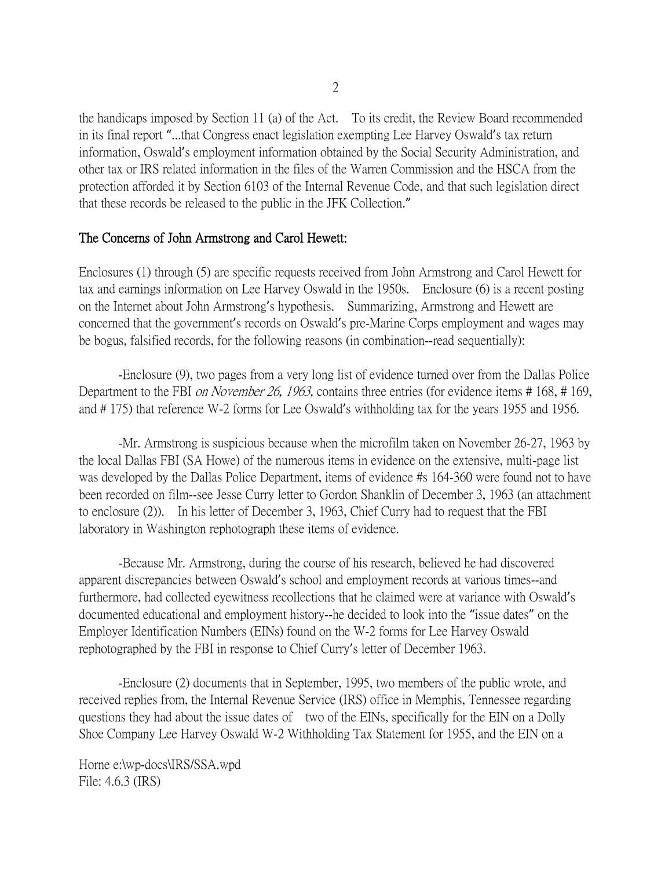the handicaps imposed by Section 11 (a) of the Act. To its credit, the Review Board recommended in its final report "...that Congress enact legislation exempting Lee Harvey Oswald's tax return information, Oswald's employment information obtained by the Social Security Administration, and other tax or IRS related information in the files of the Warren Commission and the HSCA from the protection afforded it by Section 6103 of the Internal Revenue Code, and that such legislation direct that these records be released to the public in the JFK Collection."

#### The Concerns of John Armstrong and Carol Hewett:

Enclosures (1) through (5) are specific requests received from John Armstrong and Carol Hewett for tax and earnings information on Lee Harvey Oswald in the 1950s. Enclosure (6) is a recent posting on the Internet about John Armstrong's hypothesis. Summarizing, Armstrong and Hewett are concerned that the government's records on Oswald's pre-Marine Corps employment and wages may be bogus, falsified records, for the following reasons (in combination--read sequentially):

-Enclosure (9), two pages from a very long list of evidence turned over from the Dallas Police Department to the FBI *on November 26, 1963*, contains three entries (for evidence items # 168, # 169, and # 175) that reference W-2 forms for Lee Oswald's withholding tax for the years 1955 and 1956.

-Mr. Armstrong is suspicious because when the microfilm taken on November 26-27, 1963 by the local Dallas FBI (SA Howe) of the numerous items in evidence on the extensive, multi-page list was developed by the Dallas Police Department, items of evidence #s 164-360 were found not to have been recorded on film--see Jesse Curry letter to Gordon Shanklin of December 3, 1963 (an attachment to enclosure (2)). In his letter of December 3, 1963, Chief Curry had to request that the FBI laboratory in Washington rephotograph these items of evidence.

-Because Mr. Armstrong, during the course of his research, believed he had discovered apparent discrepancies between Oswald's school and employment records at various times--and furthermore, had collected eyewitness recollections that he claimed were at variance with Oswald's documented educational and employment history--he decided to look into the "issue dates" on the Employer Identification Numbers (EINs) found on the W-2 forms for Lee Harvey Oswald rephotographed by the FBI in response to Chief Curry's letter of December 1963.

-Enclosure (2) documents that in September, 1995, two members of the public wrote, and received replies from, the Internal Revenue Service (IRS) office in Memphis, Tennessee regarding questions they had about the issue dates of two of the EINs, specifically for the EIN on a Dolly Shoe Company Lee Harvey Oswald W-2 Withholding Tax Statement for 1955, and the EIN on a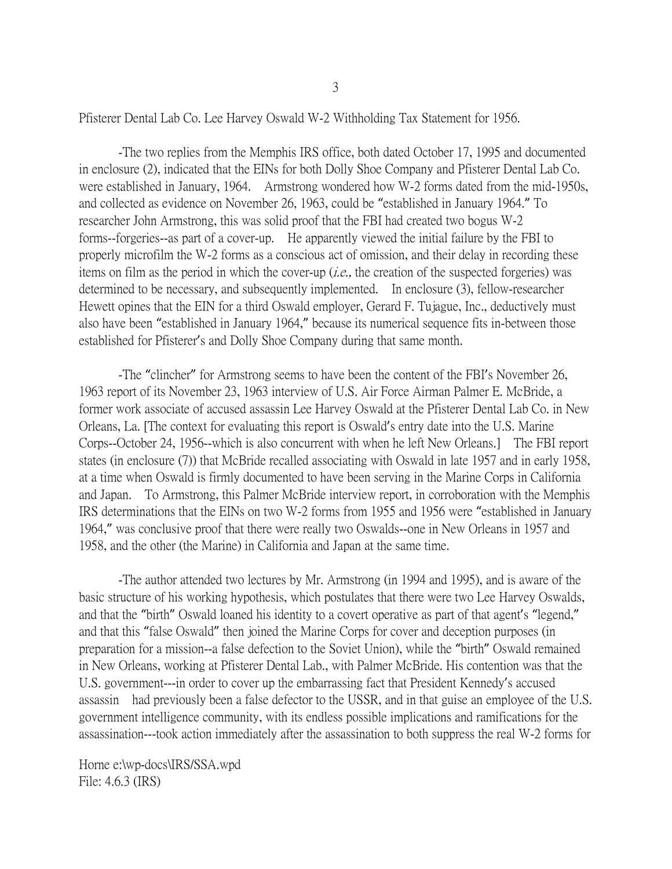Pfisterer Dental Lab Co. Lee Harvey Oswald W-2 Withholding Tax Statement for 1956.

-The two replies from the Memphis IRS office, both dated October 17, 1995 and documented in enclosure (2), indicated that the EINs for both Dolly Shoe Company and Pfisterer Dental Lab Co. were established in January, 1964. Armstrong wondered how W-2 forms dated from the mid-1950s, and collected as evidence on November 26, 1963, could be "established in January 1964." To researcher John Armstrong, this was solid proof that the FBI had created two bogus W-2 forms--forgeries--as part of a cover-up. He apparently viewed the initial failure by the FBI to properly microfilm the W-2 forms as a conscious act of omission, and their delay in recording these items on film as the period in which the cover-up (*i.e.*, the creation of the suspected forgeries) was determined to be necessary, and subsequently implemented. In enclosure (3), fellow-researcher Hewett opines that the EIN for a third Oswald employer, Gerard F. Tujague, Inc., deductively must also have been "established in January 1964," because its numerical sequence fits in-between those established for Pfisterer's and Dolly Shoe Company during that same month.

-The "clincher" for Armstrong seems to have been the content of the FBI's November 26, 1963 report of its November 23, 1963 interview of U.S. Air Force Airman Palmer E. McBride, a former work associate of accused assassin Lee Harvey Oswald at the Pfisterer Dental Lab Co. in New Orleans, La. [The context for evaluating this report is Oswald's entry date into the U.S. Marine Corps--October 24, 1956--which is also concurrent with when he left New Orleans.] The FBI report states (in enclosure (7)) that McBride recalled associating with Oswald in late 1957 and in early 1958, at a time when Oswald is firmly documented to have been serving in the Marine Corps in California and Japan. To Armstrong, this Palmer McBride interview report, in corroboration with the Memphis IRS determinations that the EINs on two W-2 forms from 1955 and 1956 were "established in January 1964," was conclusive proof that there were really two Oswalds--one in New Orleans in 1957 and 1958, and the other (the Marine) in California and Japan at the same time.

-The author attended two lectures by Mr. Armstrong (in 1994 and 1995), and is aware of the basic structure of his working hypothesis, which postulates that there were two Lee Harvey Oswalds, and that the "birth" Oswald loaned his identity to a covert operative as part of that agent's "legend," and that this "false Oswald" then joined the Marine Corps for cover and deception purposes (in preparation for a mission--a false defection to the Soviet Union), while the "birth" Oswald remained in New Orleans, working at Pfisterer Dental Lab., with Palmer McBride. His contention was that the U.S. government---in order to cover up the embarrassing fact that President Kennedy's accused assassin had previously been a false defector to the USSR, and in that guise an employee of the U.S. government intelligence community, with its endless possible implications and ramifications for the assassination---took action immediately after the assassination to both suppress the real W-2 forms for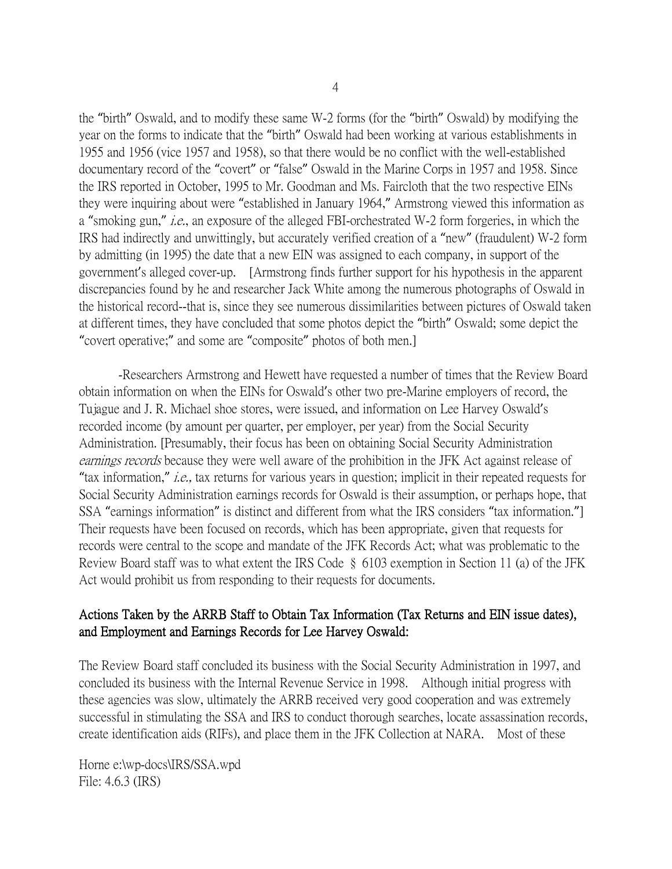the "birth" Oswald, and to modify these same W-2 forms (for the "birth" Oswald) by modifying the year on the forms to indicate that the "birth" Oswald had been working at various establishments in 1955 and 1956 (vice 1957 and 1958), so that there would be no conflict with the well-established documentary record of the "covert" or "false" Oswald in the Marine Corps in 1957 and 1958. Since the IRS reported in October, 1995 to Mr. Goodman and Ms. Faircloth that the two respective EINs they were inquiring about were "established in January 1964," Armstrong viewed this information as a "smoking gun," *i.e.*, an exposure of the alleged FBI-orchestrated W-2 form forgeries, in which the IRS had indirectly and unwittingly, but accurately verified creation of a "new" (fraudulent) W-2 form by admitting (in 1995) the date that a new EIN was assigned to each company, in support of the government's alleged cover-up. [Armstrong finds further support for his hypothesis in the apparent discrepancies found by he and researcher Jack White among the numerous photographs of Oswald in the historical record--that is, since they see numerous dissimilarities between pictures of Oswald taken at different times, they have concluded that some photos depict the "birth" Oswald; some depict the "covert operative;" and some are "composite" photos of both men.]

-Researchers Armstrong and Hewett have requested a number of times that the Review Board obtain information on when the EINs for Oswald's other two pre-Marine employers of record, the Tujague and J. R. Michael shoe stores, were issued, and information on Lee Harvey Oswald's recorded income (by amount per quarter, per employer, per year) from the Social Security Administration. [Presumably, their focus has been on obtaining Social Security Administration earnings records because they were well aware of the prohibition in the JFK Act against release of "tax information," i.e., tax returns for various years in question; implicit in their repeated requests for Social Security Administration earnings records for Oswald is their assumption, or perhaps hope, that SSA "earnings information" is distinct and different from what the IRS considers "tax information."] Their requests have been focused on records, which has been appropriate, given that requests for records were central to the scope and mandate of the JFK Records Act; what was problematic to the Review Board staff was to what extent the IRS Code § 6103 exemption in Section 11 (a) of the JFK Act would prohibit us from responding to their requests for documents.

### Actions Taken by the ARRB Staff to Obtain Tax Information (Tax Returns and EIN issue dates), and Employment and Earnings Records for Lee Harvey Oswald:

The Review Board staff concluded its business with the Social Security Administration in 1997, and concluded its business with the Internal Revenue Service in 1998. Although initial progress with these agencies was slow, ultimately the ARRB received very good cooperation and was extremely successful in stimulating the SSA and IRS to conduct thorough searches, locate assassination records, create identification aids (RIFs), and place them in the JFK Collection at NARA. Most of these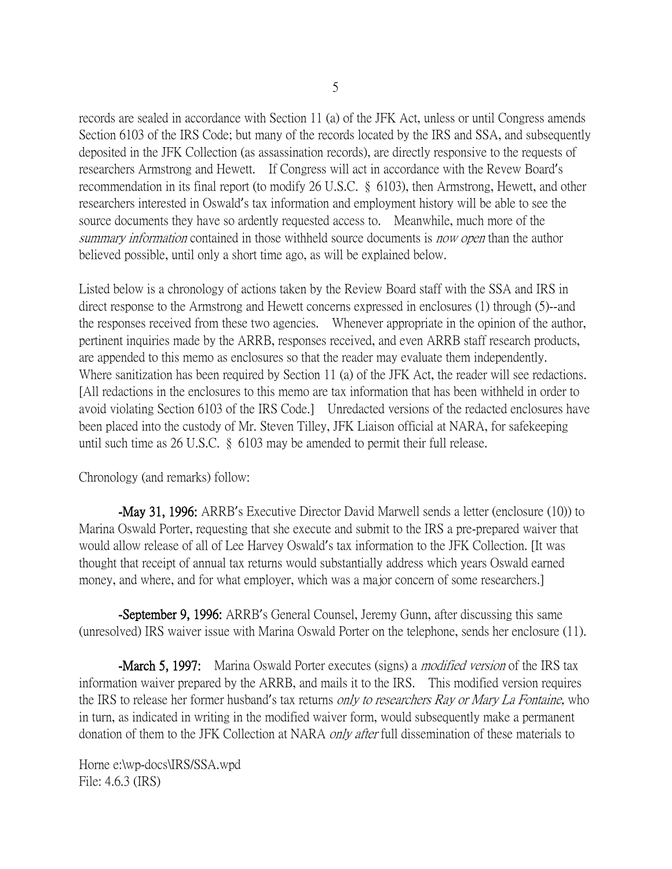records are sealed in accordance with Section 11 (a) of the JFK Act, unless or until Congress amends Section 6103 of the IRS Code; but many of the records located by the IRS and SSA, and subsequently deposited in the JFK Collection (as assassination records), are directly responsive to the requests of researchers Armstrong and Hewett. If Congress will act in accordance with the Revew Board's recommendation in its final report (to modify 26 U.S.C. § 6103), then Armstrong, Hewett, and other researchers interested in Oswald's tax information and employment history will be able to see the source documents they have so ardently requested access to. Meanwhile, much more of the summary information contained in those withheld source documents is now open than the author believed possible, until only a short time ago, as will be explained below.

Listed below is a chronology of actions taken by the Review Board staff with the SSA and IRS in direct response to the Armstrong and Hewett concerns expressed in enclosures (1) through (5)--and the responses received from these two agencies. Whenever appropriate in the opinion of the author, pertinent inquiries made by the ARRB, responses received, and even ARRB staff research products, are appended to this memo as enclosures so that the reader may evaluate them independently. Where sanitization has been required by Section 11 (a) of the JFK Act, the reader will see redactions. [All redactions in the enclosures to this memo are tax information that has been withheld in order to avoid violating Section 6103 of the IRS Code.] Unredacted versions of the redacted enclosures have been placed into the custody of Mr. Steven Tilley, JFK Liaison official at NARA, for safekeeping until such time as 26 U.S.C. § 6103 may be amended to permit their full release.

Chronology (and remarks) follow:

-May 31, 1996: ARRB's Executive Director David Marwell sends a letter (enclosure (10)) to Marina Oswald Porter, requesting that she execute and submit to the IRS a pre-prepared waiver that would allow release of all of Lee Harvey Oswald's tax information to the JFK Collection. [It was thought that receipt of annual tax returns would substantially address which years Oswald earned money, and where, and for what employer, which was a major concern of some researchers.

-September 9, 1996: ARRB's General Counsel, Jeremy Gunn, after discussing this same (unresolved) IRS waiver issue with Marina Oswald Porter on the telephone, sends her enclosure (11).

**-March 5, 1997:** Marina Oswald Porter executes (signs) a *modified version* of the IRS tax information waiver prepared by the ARRB, and mails it to the IRS. This modified version requires the IRS to release her former husband's tax returns only to researchers Ray or Mary La Fontaine, who in turn, as indicated in writing in the modified waiver form, would subsequently make a permanent donation of them to the JFK Collection at NARA *only after* full dissemination of these materials to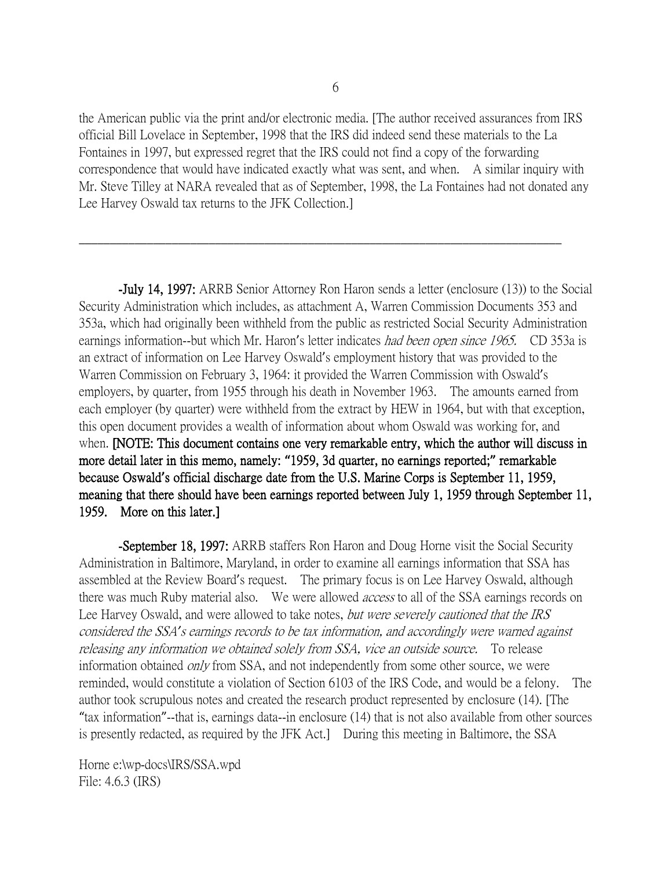the American public via the print and/or electronic media. [The author received assurances from IRS official Bill Lovelace in September, 1998 that the IRS did indeed send these materials to the La Fontaines in 1997, but expressed regret that the IRS could not find a copy of the forwarding correspondence that would have indicated exactly what was sent, and when. A similar inquiry with Mr. Steve Tilley at NARA revealed that as of September, 1998, the La Fontaines had not donated any Lee Harvey Oswald tax returns to the JFK Collection.]

\_\_\_\_\_\_\_\_\_\_\_\_\_\_\_\_\_\_\_\_\_\_\_\_\_\_\_\_\_\_\_\_\_\_\_\_\_\_\_\_\_\_\_\_\_\_\_\_\_\_\_\_\_\_\_\_\_\_\_\_\_\_\_\_\_\_\_\_\_\_\_\_\_\_\_\_\_\_

-July 14, 1997: ARRB Senior Attorney Ron Haron sends a letter (enclosure (13)) to the Social Security Administration which includes, as attachment A, Warren Commission Documents 353 and 353a, which had originally been withheld from the public as restricted Social Security Administration earnings information--but which Mr. Haron's letter indicates *had been open since 1965*. CD 353a is an extract of information on Lee Harvey Oswald's employment history that was provided to the Warren Commission on February 3, 1964: it provided the Warren Commission with Oswald's employers, by quarter, from 1955 through his death in November 1963. The amounts earned from each employer (by quarter) were withheld from the extract by HEW in 1964, but with that exception, this open document provides a wealth of information about whom Oswald was working for, and when. [NOTE: This document contains one very remarkable entry, which the author will discuss in more detail later in this memo, namely: **"**1959, 3d quarter, no earnings reported;**"** remarkable because Oswald**'**s official discharge date from the U.S. Marine Corps is September 11, 1959, meaning that there should have been earnings reported between July 1, 1959 through September 11, 1959. More on this later.]

-September 18, 1997: ARRB staffers Ron Haron and Doug Horne visit the Social Security Administration in Baltimore, Maryland, in order to examine all earnings information that SSA has assembled at the Review Board's request. The primary focus is on Lee Harvey Oswald, although there was much Ruby material also. We were allowed *access* to all of the SSA earnings records on Lee Harvey Oswald, and were allowed to take notes, but were severely cautioned that the IRS considered the SSA*'*s earnings records to be tax information, and accordingly were warned against releasing any information we obtained solely from SSA, vice an outside source. To release information obtained *only* from SSA, and not independently from some other source, we were reminded, would constitute a violation of Section 6103 of the IRS Code, and would be a felony. The author took scrupulous notes and created the research product represented by enclosure (14). [The "tax information"--that is, earnings data--in enclosure (14) that is not also available from other sources is presently redacted, as required by the JFK Act.] During this meeting in Baltimore, the SSA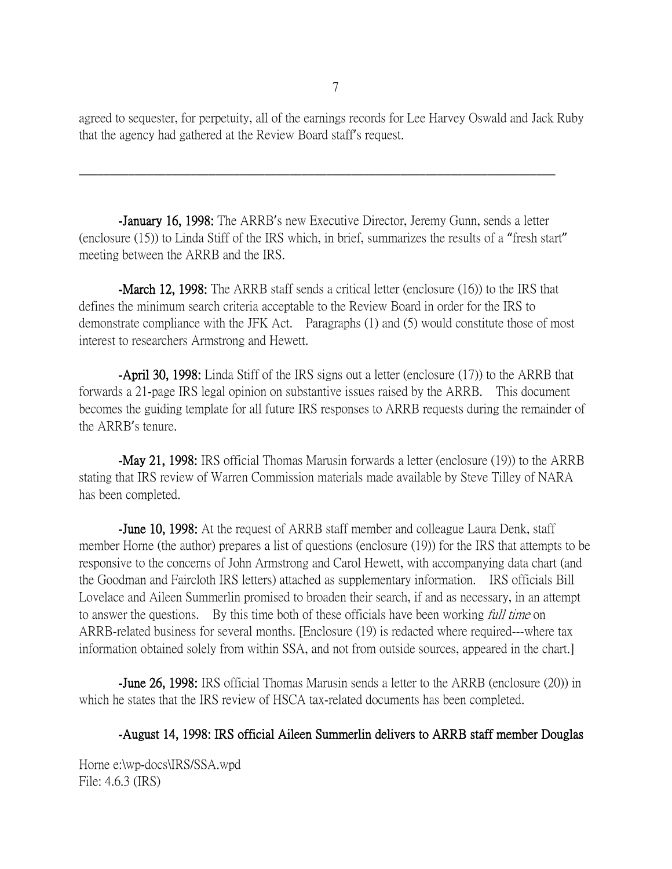agreed to sequester, for perpetuity, all of the earnings records for Lee Harvey Oswald and Jack Ruby that the agency had gathered at the Review Board staff's request.

-January 16, 1998: The ARRB's new Executive Director, Jeremy Gunn, sends a letter (enclosure (15)) to Linda Stiff of the IRS which, in brief, summarizes the results of a "fresh start" meeting between the ARRB and the IRS.

\_\_\_\_\_\_\_\_\_\_\_\_\_\_\_\_\_\_\_\_\_\_\_\_\_\_\_\_\_\_\_\_\_\_\_\_\_\_\_\_\_\_\_\_\_\_\_\_\_\_\_\_\_\_\_\_\_\_\_\_\_\_\_\_\_\_\_\_\_\_\_\_\_\_\_\_\_

-March 12, 1998: The ARRB staff sends a critical letter (enclosure (16)) to the IRS that defines the minimum search criteria acceptable to the Review Board in order for the IRS to demonstrate compliance with the JFK Act. Paragraphs (1) and (5) would constitute those of most interest to researchers Armstrong and Hewett.

-April 30, 1998: Linda Stiff of the IRS signs out a letter (enclosure (17)) to the ARRB that forwards a 21-page IRS legal opinion on substantive issues raised by the ARRB. This document becomes the guiding template for all future IRS responses to ARRB requests during the remainder of the ARRB's tenure.

-May 21, 1998: IRS official Thomas Marusin forwards a letter (enclosure (19)) to the ARRB stating that IRS review of Warren Commission materials made available by Steve Tilley of NARA has been completed.

-June 10, 1998: At the request of ARRB staff member and colleague Laura Denk, staff member Horne (the author) prepares a list of questions (enclosure (19)) for the IRS that attempts to be responsive to the concerns of John Armstrong and Carol Hewett, with accompanying data chart (and the Goodman and Faircloth IRS letters) attached as supplementary information. IRS officials Bill Lovelace and Aileen Summerlin promised to broaden their search, if and as necessary, in an attempt to answer the questions. By this time both of these officials have been working *full time* on ARRB-related business for several months. [Enclosure (19) is redacted where required---where tax information obtained solely from within SSA, and not from outside sources, appeared in the chart.]

-June 26, 1998: IRS official Thomas Marusin sends a letter to the ARRB (enclosure (20)) in which he states that the IRS review of HSCA tax-related documents has been completed.

#### -August 14, 1998: IRS official Aileen Summerlin delivers to ARRB staff member Douglas